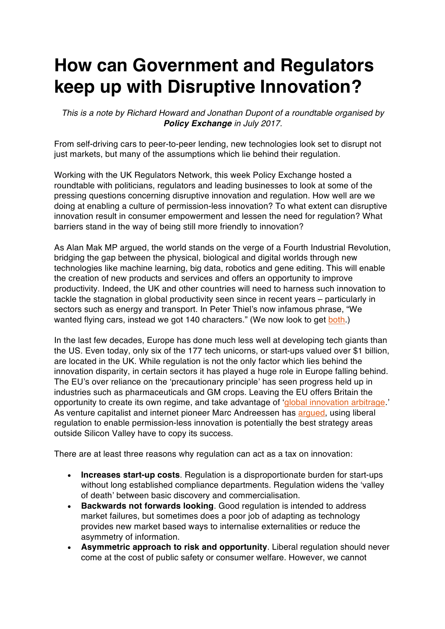## **How can Government and Regulators keep up with Disruptive Innovation?**

*This is a note by Richard Howard and Jonathan Dupont of a roundtable organised by Policy Exchange in July 2017.*

From self-driving cars to peer-to-peer lending, new technologies look set to disrupt not just markets, but many of the assumptions which lie behind their regulation.

Working with the UK Regulators Network, this week Policy Exchange hosted a roundtable with politicians, regulators and leading businesses to look at some of the pressing questions concerning disruptive innovation and regulation. How well are we doing at enabling a culture of permission-less innovation? To what extent can disruptive innovation result in consumer empowerment and lessen the need for regulation? What barriers stand in the way of being still more friendly to innovation?

As Alan Mak MP argued, the world stands on the verge of a Fourth Industrial Revolution, bridging the gap between the physical, biological and digital worlds through new technologies like machine learning, big data, robotics and gene editing. This will enable the creation of new products and services and offers an opportunity to improve productivity. Indeed, the UK and other countries will need to harness such innovation to tackle the stagnation in global productivity seen since in recent years – particularly in sectors such as energy and transport. In Peter Thiel's now infamous phrase, "We wanted flying cars, instead we got 140 characters." (We now look to get both.)

In the last few decades, Europe has done much less well at developing tech giants than the US. Even today, only six of the 177 tech unicorns, or start-ups valued over \$1 billion, are located in the UK. While regulation is not the only factor which lies behind the innovation disparity, in certain sectors it has played a huge role in Europe falling behind. The EU's over reliance on the 'precautionary principle' has seen progress held up in industries such as pharmaceuticals and GM crops. Leaving the EU offers Britain the opportunity to create its own regime, and take advantage of 'global innovation arbitrage.' As venture capitalist and internet pioneer Marc Andreessen has argued, using liberal regulation to enable permission-less innovation is potentially the best strategy areas outside Silicon Valley have to copy its success.

There are at least three reasons why regulation can act as a tax on innovation:

- **Increases start-up costs**. Regulation is a disproportionate burden for start-ups without long established compliance departments. Regulation widens the 'valley of death' between basic discovery and commercialisation.
- **Backwards not forwards looking**. Good regulation is intended to address market failures, but sometimes does a poor job of adapting as technology provides new market based ways to internalise externalities or reduce the asymmetry of information.
- **Asymmetric approach to risk and opportunity**. Liberal regulation should never come at the cost of public safety or consumer welfare. However, we cannot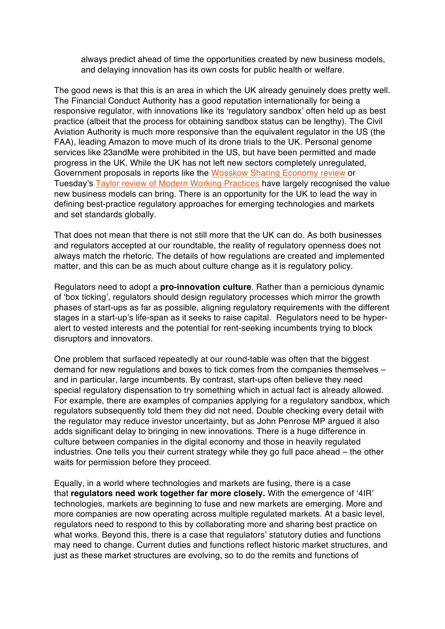always predict ahead of time the opportunities created by new business models, and delaying innovation has its own costs for public health or welfare.

The good news is that this is an area in which the UK already genuinely does pretty well. The Financial Conduct Authority has a good reputation internationally for being a responsive regulator, with innovations like its 'regulatory sandbox' often held up as best practice (albeit that the process for obtaining sandbox status can be lengthy). The Civil Aviation Authority is much more responsive than the equivalent regulator in the US (the FAA), leading Amazon to move much of its drone trials to the UK. Personal genome services like 23andMe were prohibited in the US, but have been permitted and made progress in the UK. While the UK has not left new sectors completely unregulated, Government proposals in reports like the Wosskow Sharing Economy review or Tuesday's Taylor review of Modern Working Practices have largely recognised the value new business models can bring. There is an opportunity for the UK to lead the way in defining best-practice regulatory approaches for emerging technologies and markets and set standards globally.

That does not mean that there is not still more that the UK can do. As both businesses and regulators accepted at our roundtable, the reality of regulatory openness does not always match the rhetoric. The details of how regulations are created and implemented matter, and this can be as much about culture change as it is regulatory policy.

Regulators need to adopt a **pro-innovation culture**. Rather than a pernicious dynamic of 'box ticking', regulators should design regulatory processes which mirror the growth phases of start-ups as far as possible, aligning regulatory requirements with the different stages in a start-up's life-span as it seeks to raise capital. Regulators need to be hyperalert to vested interests and the potential for rent-seeking incumbents trying to block disruptors and innovators.

One problem that surfaced repeatedly at our round-table was often that the biggest demand for new regulations and boxes to tick comes from the companies themselves – and in particular, large incumbents. By contrast, start-ups often believe they need special regulatory dispensation to try something which in actual fact is already allowed. For example, there are examples of companies applying for a regulatory sandbox, which regulators subsequently told them they did not need. Double checking every detail with the regulator may reduce investor uncertainty, but as John Penrose MP argued it also adds significant delay to bringing in new innovations. There is a huge difference in culture between companies in the digital economy and those in heavily regulated industries. One tells you their current strategy while they go full pace ahead – the other waits for permission before they proceed.

Equally, in a world where technologies and markets are fusing, there is a case that **regulators need work together far more closely.** With the emergence of '4IR' technologies, markets are beginning to fuse and new markets are emerging. More and more companies are now operating across multiple regulated markets. At a basic level, regulators need to respond to this by collaborating more and sharing best practice on what works. Beyond this, there is a case that regulators' statutory duties and functions may need to change. Current duties and functions reflect historic market structures, and just as these market structures are evolving, so to do the remits and functions of